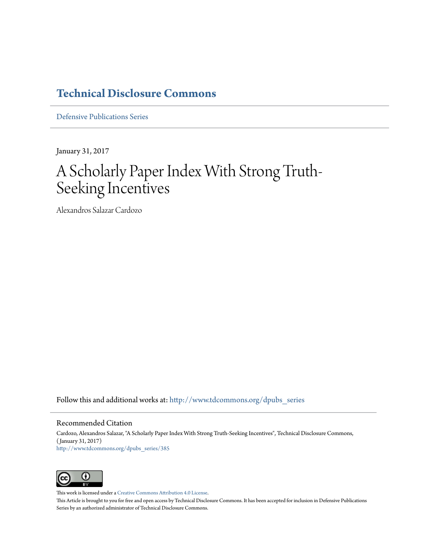### **[Technical Disclosure Commons](http://www.tdcommons.org?utm_source=www.tdcommons.org%2Fdpubs_series%2F385&utm_medium=PDF&utm_campaign=PDFCoverPages)**

[Defensive Publications Series](http://www.tdcommons.org/dpubs_series?utm_source=www.tdcommons.org%2Fdpubs_series%2F385&utm_medium=PDF&utm_campaign=PDFCoverPages)

January 31, 2017

# A Scholarly Paper Index With Strong Truth-Seeking Incentives

Alexandros Salazar Cardozo

Follow this and additional works at: [http://www.tdcommons.org/dpubs\\_series](http://www.tdcommons.org/dpubs_series?utm_source=www.tdcommons.org%2Fdpubs_series%2F385&utm_medium=PDF&utm_campaign=PDFCoverPages)

#### Recommended Citation

Cardozo, Alexandros Salazar, "A Scholarly Paper Index With Strong Truth-Seeking Incentives", Technical Disclosure Commons, ( January 31, 2017) [http://www.tdcommons.org/dpubs\\_series/385](http://www.tdcommons.org/dpubs_series/385?utm_source=www.tdcommons.org%2Fdpubs_series%2F385&utm_medium=PDF&utm_campaign=PDFCoverPages)



This work is licensed under a [Creative Commons Attribution 4.0 License.](http://creativecommons.org/licenses/by/4.0/deed.en_US)

This Article is brought to you for free and open access by Technical Disclosure Commons. It has been accepted for inclusion in Defensive Publications Series by an authorized administrator of Technical Disclosure Commons.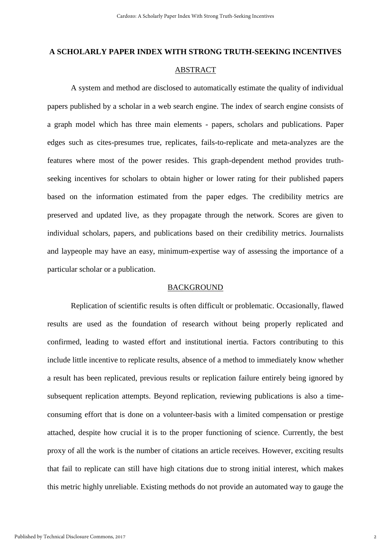## **A SCHOLARLY PAPER INDEX WITH STRONG TRUTH-SEEKING INCENTIVES**  ABSTRACT

A system and method are disclosed to automatically estimate the quality of individual papers published by a scholar in a web search engine. The index of search engine consists of a graph model which has three main elements - papers, scholars and publications. Paper edges such as cites-presumes true, replicates, fails-to-replicate and meta-analyzes are the features where most of the power resides. This graph-dependent method provides truthseeking incentives for scholars to obtain higher or lower rating for their published papers based on the information estimated from the paper edges. The credibility metrics are preserved and updated live, as they propagate through the network. Scores are given to individual scholars, papers, and publications based on their credibility metrics. Journalists and laypeople may have an easy, minimum-expertise way of assessing the importance of a particular scholar or a publication.

#### BACKGROUND

Replication of scientific results is often difficult or problematic. Occasionally, flawed results are used as the foundation of research without being properly replicated and confirmed, leading to wasted effort and institutional inertia. Factors contributing to this include little incentive to replicate results, absence of a method to immediately know whether a result has been replicated, previous results or replication failure entirely being ignored by subsequent replication attempts. Beyond replication, reviewing publications is also a timeconsuming effort that is done on a volunteer-basis with a limited compensation or prestige attached, despite how crucial it is to the proper functioning of science. Currently, the best proxy of all the work is the number of citations an article receives. However, exciting results that fail to replicate can still have high citations due to strong initial interest, which makes this metric highly unreliable. Existing methods do not provide an automated way to gauge the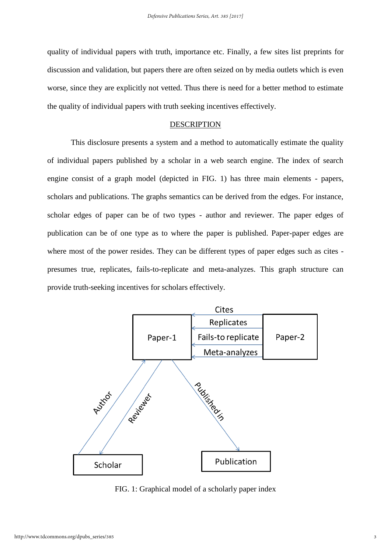quality of individual papers with truth, importance etc. Finally, a few sites list preprints for discussion and validation, but papers there are often seized on by media outlets which is even worse, since they are explicitly not vetted. Thus there is need for a better method to estimate the quality of individual papers with truth seeking incentives effectively.

#### **DESCRIPTION**

This disclosure presents a system and a method to automatically estimate the quality of individual papers published by a scholar in a web search engine. The index of search engine consist of a graph model (depicted in FIG. 1) has three main elements - papers, scholars and publications. The graphs semantics can be derived from the edges. For instance, scholar edges of paper can be of two types - author and reviewer. The paper edges of publication can be of one type as to where the paper is published. Paper-paper edges are where most of the power resides. They can be different types of paper edges such as cites presumes true, replicates, fails-to-replicate and meta-analyzes. This graph structure can provide truth-seeking incentives for scholars effectively.



FIG. 1: Graphical model of a scholarly paper index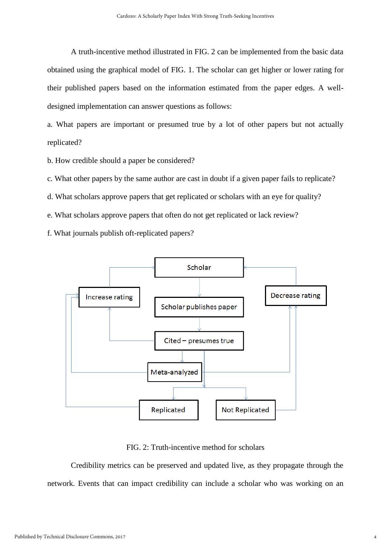A truth-incentive method illustrated in FIG. 2 can be implemented from the basic data obtained using the graphical model of FIG. 1. The scholar can get higher or lower rating for their published papers based on the information estimated from the paper edges. A welldesigned implementation can answer questions as follows:

a. What papers are important or presumed true by a lot of other papers but not actually replicated?

b. How credible should a paper be considered?

c. What other papers by the same author are cast in doubt if a given paper fails to replicate?

d. What scholars approve papers that get replicated or scholars with an eye for quality?

e. What scholars approve papers that often do not get replicated or lack review?

f. What journals publish oft-replicated papers?



FIG. 2: Truth-incentive method for scholars

Credibility metrics can be preserved and updated live, as they propagate through the network. Events that can impact credibility can include a scholar who was working on an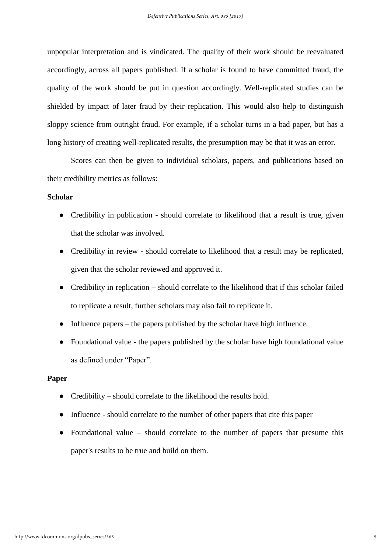unpopular interpretation and is vindicated. The quality of their work should be reevaluated accordingly, across all papers published. If a scholar is found to have committed fraud, the quality of the work should be put in question accordingly. Well-replicated studies can be shielded by impact of later fraud by their replication. This would also help to distinguish sloppy science from outright fraud. For example, if a scholar turns in a bad paper, but has a long history of creating well-replicated results, the presumption may be that it was an error.

Scores can then be given to individual scholars, papers, and publications based on their credibility metrics as follows:

#### **Scholar**

- Credibility in publication should correlate to likelihood that a result is true, given that the scholar was involved.
- Credibility in review should correlate to likelihood that a result may be replicated, given that the scholar reviewed and approved it.
- Credibility in replication should correlate to the likelihood that if this scholar failed to replicate a result, further scholars may also fail to replicate it.
- $\bullet$  Influence papers the papers published by the scholar have high influence.
- Foundational value the papers published by the scholar have high foundational value as defined under "Paper".

#### **Paper**

- Credibility should correlate to the likelihood the results hold.
- Influence should correlate to the number of other papers that cite this paper
- Foundational value should correlate to the number of papers that presume this paper's results to be true and build on them.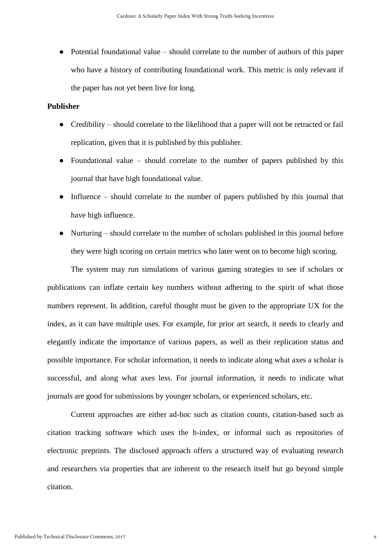• Potential foundational value – should correlate to the number of authors of this paper who have a history of contributing foundational work. This metric is only relevant if the paper has not yet been live for long.

#### **Publisher**

- Credibility should correlate to the likelihood that a paper will not be retracted or fail replication, given that it is published by this publisher.
- Foundational value should correlate to the number of papers published by this journal that have high foundational value.
- Influence should correlate to the number of papers published by this journal that have high influence.
- Nurturing should correlate to the number of scholars published in this journal before they were high scoring on certain metrics who later went on to become high scoring.

The system may run simulations of various gaming strategies to see if scholars or publications can inflate certain key numbers without adhering to the spirit of what those numbers represent. In addition, careful thought must be given to the appropriate UX for the index, as it can have multiple uses. For example, for prior art search, it needs to clearly and elegantly indicate the importance of various papers, as well as their replication status and possible importance. For scholar information, it needs to indicate along what axes a scholar is successful, and along what axes less. For journal information, it needs to indicate what journals are good for submissions by younger scholars, or experienced scholars, etc.

Current approaches are either ad-hoc such as citation counts, citation-based such as citation tracking software which uses the h-index, or informal such as repositories of electronic preprints. The disclosed approach offers a structured way of evaluating research and researchers via properties that are inherent to the research itself but go beyond simple citation.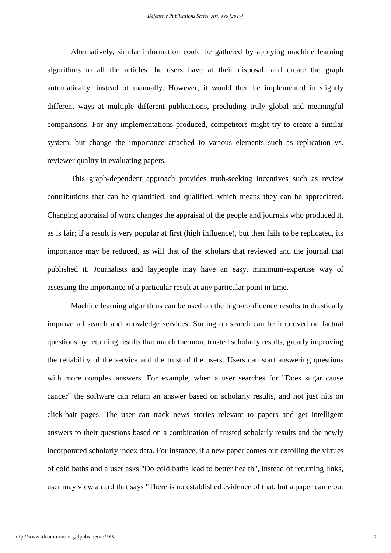Alternatively, similar information could be gathered by applying machine learning algorithms to all the articles the users have at their disposal, and create the graph automatically, instead of manually. However, it would then be implemented in slightly different ways at multiple different publications, precluding truly global and meaningful comparisons. For any implementations produced, competitors might try to create a similar system, but change the importance attached to various elements such as replication vs. reviewer quality in evaluating papers.

This graph-dependent approach provides truth-seeking incentives such as review contributions that can be quantified, and qualified, which means they can be appreciated. Changing appraisal of work changes the appraisal of the people and journals who produced it, as is fair; if a result is very popular at first (high influence), but then fails to be replicated, its importance may be reduced, as will that of the scholars that reviewed and the journal that published it. Journalists and laypeople may have an easy, minimum-expertise way of assessing the importance of a particular result at any particular point in time.

Machine learning algorithms can be used on the high-confidence results to drastically improve all search and knowledge services. Sorting on search can be improved on factual questions by returning results that match the more trusted scholarly results, greatly improving the reliability of the service and the trust of the users. Users can start answering questions with more complex answers. For example, when a user searches for "Does sugar cause cancer" the software can return an answer based on scholarly results, and not just hits on click-bait pages. The user can track news stories relevant to papers and get intelligent answers to their questions based on a combination of trusted scholarly results and the newly incorporated scholarly index data. For instance, if a new paper comes out extolling the virtues of cold baths and a user asks "Do cold baths lead to better health", instead of returning links, user may view a card that says "There is no established evidence of that, but a paper came out